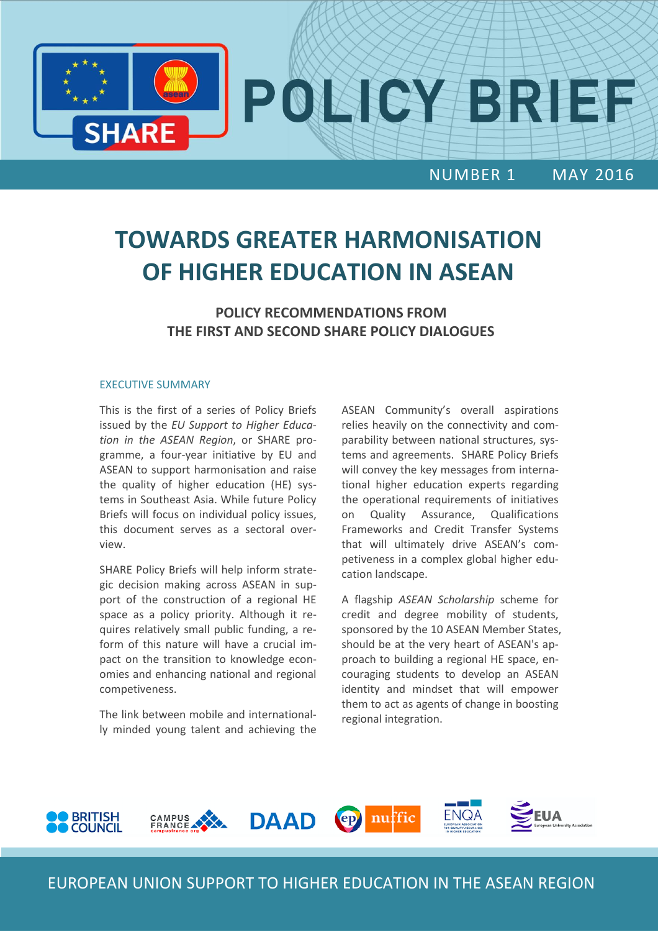

# **TOWARDS GREATER HARMONISATION OF HIGHER EDUCATION IN ASEAN**

**POLICY RECOMMENDATIONS FROM THE FIRST AND SECOND SHARE POLICY DIALOGUES**

#### EXECUTIVE SUMMARY

This is the first of a series of Policy Briefs issued by the *EU Support to Higher Education in the ASEAN Region*, or SHARE programme, a four-year initiative by EU and ASEAN to support harmonisation and raise the quality of higher education (HE) systems in Southeast Asia. While future Policy Briefs will focus on individual policy issues, this document serves as a sectoral overview.

SHARE Policy Briefs will help inform strategic decision making across ASEAN in support of the construction of a regional HE space as a policy priority. Although it requires relatively small public funding, a reform of this nature will have a crucial impact on the transition to knowledge economies and enhancing national and regional competiveness.

The link between mobile and internationally minded young talent and achieving the ASEAN Community's overall aspirations relies heavily on the connectivity and comparability between national structures, systems and agreements. SHARE Policy Briefs will convey the key messages from international higher education experts regarding the operational requirements of initiatives on Quality Assurance, Qualifications Frameworks and Credit Transfer Systems that will ultimately drive ASEAN's competiveness in a complex global higher education landscape.

A flagship *ASEAN Scholarship* scheme for credit and degree mobility of students, sponsored by the 10 ASEAN Member States, should be at the very heart of ASEAN's approach to building a regional HE space, encouraging students to develop an ASEAN identity and mindset that will empower them to act as agents of change in boosting regional integration.



EUROPEAN UNION SUPPORT TO HIGHER EDUCATION IN THE ASEAN REGION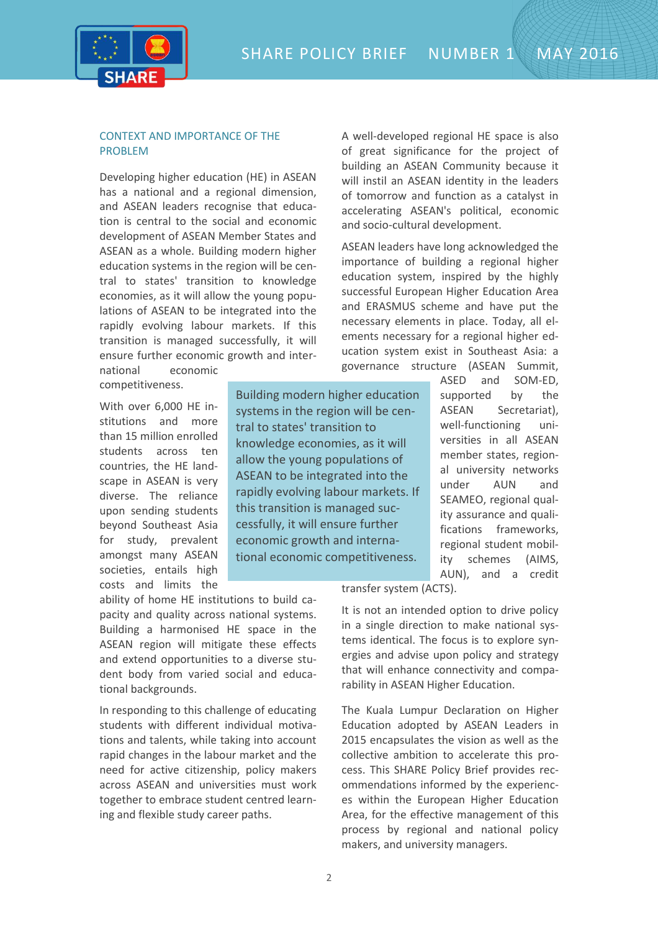SHARE POLICY BRIEF NUMBER 1 MAY 2016



### CONTEXT AND IMPORTANCE OF THE PROBLEM

Developing higher education (HE) in ASEAN has a national and a regional dimension, and ASEAN leaders recognise that education is central to the social and economic development of ASEAN Member States and ASEAN as a whole. Building modern higher education systems in the region will be central to states' transition to knowledge economies, as it will allow the young populations of ASEAN to be integrated into the rapidly evolving labour markets. If this transition is managed successfully, it will ensure further economic growth and interA well-developed regional HE space is also of great significance for the project of building an ASEAN Community because it will instil an ASEAN identity in the leaders of tomorrow and function as a catalyst in accelerating ASEAN's political, economic and socio-cultural development.

ASEAN leaders have long acknowledged the importance of building a regional higher education system, inspired by the highly successful European Higher Education Area and ERASMUS scheme and have put the necessary elements in place. Today, all elements necessary for a regional higher education system exist in Southeast Asia: a governance structure (ASEAN Summit,

national economic competitiveness.

With over 6,000 HE institutions and more than 15 million enrolled students across ten countries, the HE landscape in ASEAN is very diverse. The reliance upon sending students beyond Southeast Asia for study, prevalent amongst many ASEAN societies, entails high costs and limits the

Building modern higher education systems in the region will be central to states' transition to knowledge economies, as it will allow the young populations of ASEAN to be integrated into the rapidly evolving labour markets. If this transition is managed successfully, it will ensure further economic growth and international economic competitiveness.

ability of home HE institutions to build capacity and quality across national systems. Building a harmonised HE space in the ASEAN region will mitigate these effects and extend opportunities to a diverse student body from varied social and educational backgrounds.

In responding to this challenge of educating students with different individual motivations and talents, while taking into account rapid changes in the labour market and the need for active citizenship, policy makers across ASEAN and universities must work together to embrace student centred learning and flexible study career paths.

ASED and SOM-ED, supported by the ASEAN Secretariat), well-functioning universities in all ASEAN member states, regional university networks under AUN and SEAMEO, regional quality assurance and qualifications frameworks, regional student mobility schemes (AIMS, AUN), and a credit

transfer system (ACTS).

It is not an intended option to drive policy in a single direction to make national systems identical. The focus is to explore synergies and advise upon policy and strategy that will enhance connectivity and comparability in ASEAN Higher Education.

The Kuala Lumpur Declaration on Higher Education adopted by ASEAN Leaders in 2015 encapsulates the vision as well as the collective ambition to accelerate this process. This SHARE Policy Brief provides recommendations informed by the experiences within the European Higher Education Area, for the effective management of this process by regional and national policy makers, and university managers.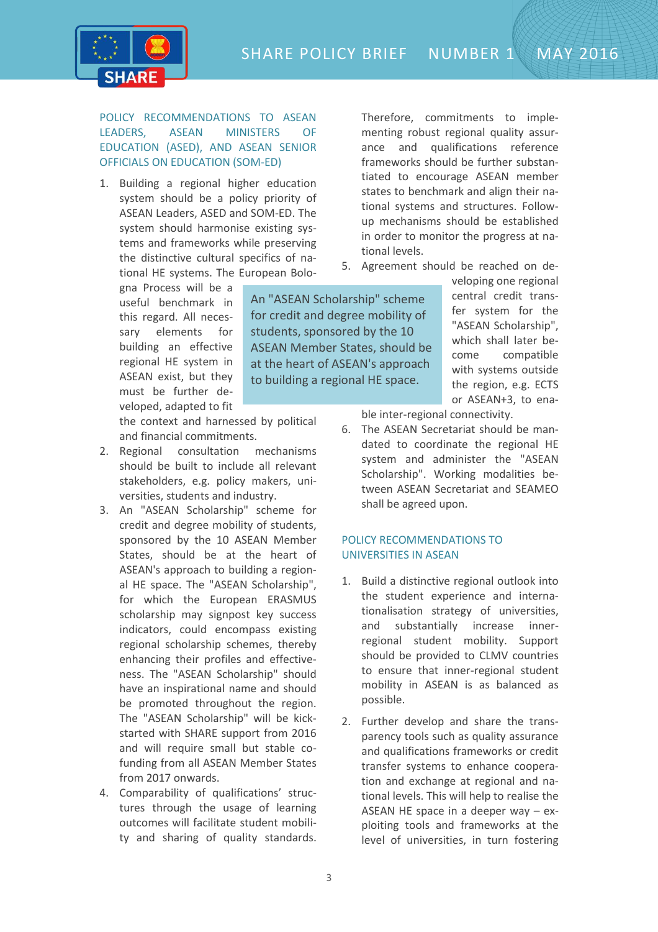SHARE POLICY BRIEF NUMBER 1 MAY 2016



POLICY RECOMMENDATIONS TO ASEAN LEADERS, ASEAN MINISTERS OF EDUCATION (ASED), AND ASEAN SENIOR OFFICIALS ON EDUCATION (SOM-ED)

1. Building a regional higher education system should be a policy priority of ASEAN Leaders, ASED and SOM-ED. The system should harmonise existing systems and frameworks while preserving the distinctive cultural specifics of national HE systems. The European Bolo-

gna Process will be a useful benchmark in this regard. All necessary elements for building an effective regional HE system in ASEAN exist, but they must be further developed, adapted to fit

the context and harnessed by political and financial commitments.

- 2. Regional consultation mechanisms should be built to include all relevant stakeholders, e.g. policy makers, universities, students and industry.
- 3. An "ASEAN Scholarship" scheme for credit and degree mobility of students, sponsored by the 10 ASEAN Member States, should be at the heart of ASEAN's approach to building a regional HE space. The "ASEAN Scholarship", for which the European ERASMUS scholarship may signpost key success indicators, could encompass existing regional scholarship schemes, thereby enhancing their profiles and effectiveness. The "ASEAN Scholarship" should have an inspirational name and should be promoted throughout the region. The "ASEAN Scholarship" will be kickstarted with SHARE support from 2016 and will require small but stable cofunding from all ASEAN Member States from 2017 onwards.
- 4. Comparability of qualifications' structures through the usage of learning outcomes will facilitate student mobility and sharing of quality standards.

Therefore, commitments to implementing robust regional quality assurance and qualifications reference frameworks should be further substantiated to encourage ASEAN member states to benchmark and align their national systems and structures. Followup mechanisms should be established in order to monitor the progress at national levels.

5. Agreement should be reached on de-

An "ASEAN Scholarship" scheme for credit and degree mobility of students, sponsored by the 10 ASEAN Member States, should be at the heart of ASEAN's approach to building a regional HE space.

veloping one regional central credit transfer system for the "ASEAN Scholarship", which shall later become compatible with systems outside the region, e.g. ECTS or ASEAN+3, to ena-

ble inter-regional connectivity.

6. The ASEAN Secretariat should be mandated to coordinate the regional HE system and administer the "ASEAN Scholarship". Working modalities between ASEAN Secretariat and SEAMEO shall be agreed upon.

## POLICY RECOMMENDATIONS TO UNIVERSITIES IN ASEAN

- 1. Build a distinctive regional outlook into the student experience and internationalisation strategy of universities, and substantially increase innerregional student mobility. Support should be provided to CLMV countries to ensure that inner-regional student mobility in ASEAN is as balanced as possible.
- 2. Further develop and share the transparency tools such as quality assurance and qualifications frameworks or credit transfer systems to enhance cooperation and exchange at regional and national levels. This will help to realise the ASEAN HE space in a deeper way  $-$  exploiting tools and frameworks at the level of universities, in turn fostering